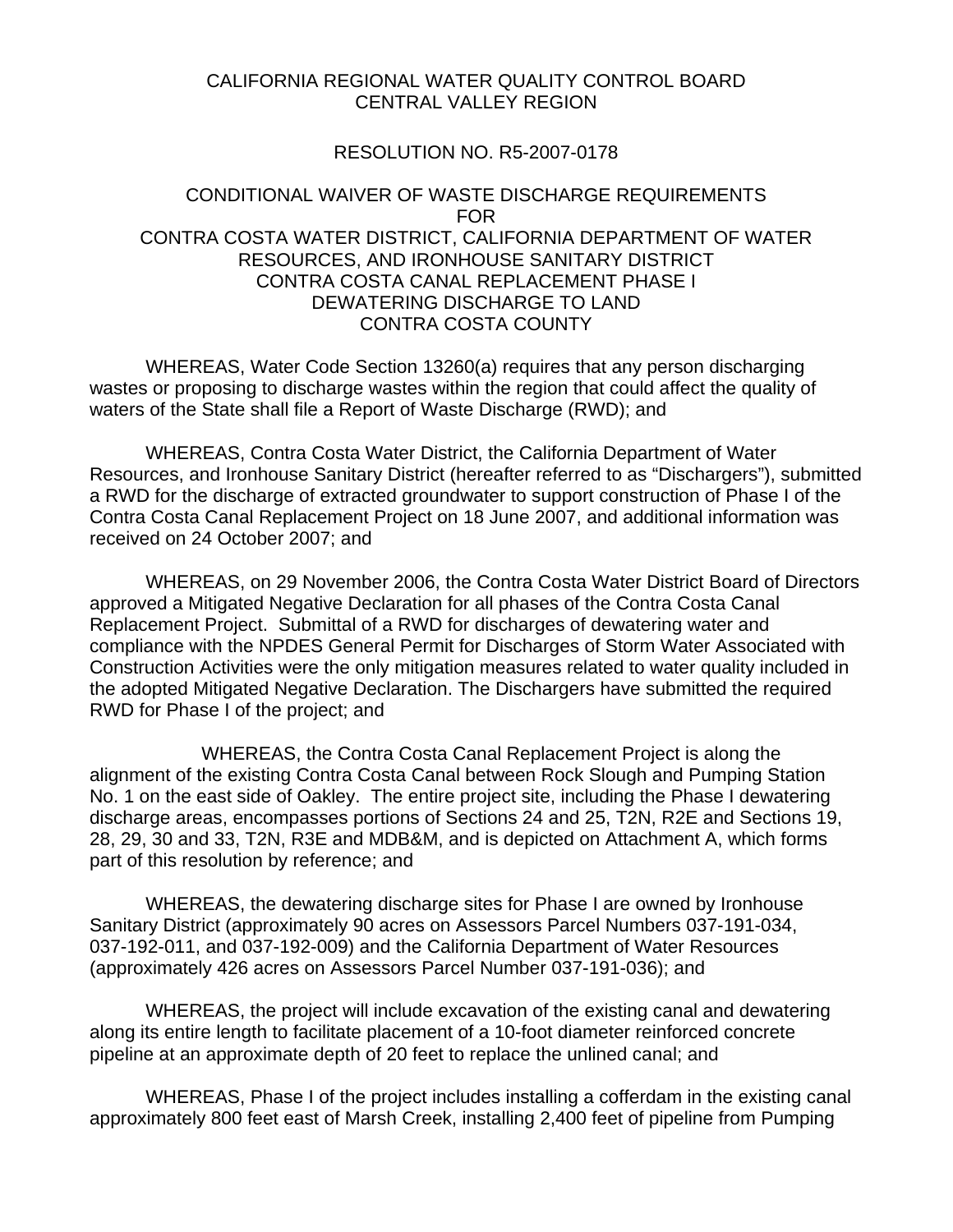#### CALIFORNIA REGIONAL WATER QUALITY CONTROL BOARD CENTRAL VALLEY REGION

#### RESOLUTION NO. R5-2007-0178

#### CONDITIONAL WAIVER OF WASTE DISCHARGE REQUIREMENTS FOR CONTRA COSTA WATER DISTRICT, CALIFORNIA DEPARTMENT OF WATER RESOURCES, AND IRONHOUSE SANITARY DISTRICT CONTRA COSTA CANAL REPLACEMENT PHASE I DEWATERING DISCHARGE TO LAND CONTRA COSTA COUNTY

 WHEREAS, Water Code Section 13260(a) requires that any person discharging wastes or proposing to discharge wastes within the region that could affect the quality of waters of the State shall file a Report of Waste Discharge (RWD); and

 WHEREAS, Contra Costa Water District, the California Department of Water Resources, and Ironhouse Sanitary District (hereafter referred to as "Dischargers"), submitted a RWD for the discharge of extracted groundwater to support construction of Phase I of the Contra Costa Canal Replacement Project on 18 June 2007, and additional information was received on 24 October 2007; and

 WHEREAS, on 29 November 2006, the Contra Costa Water District Board of Directors approved a Mitigated Negative Declaration for all phases of the Contra Costa Canal Replacement Project. Submittal of a RWD for discharges of dewatering water and compliance with the NPDES General Permit for Discharges of Storm Water Associated with Construction Activities were the only mitigation measures related to water quality included in the adopted Mitigated Negative Declaration. The Dischargers have submitted the required RWD for Phase I of the project; and

 WHEREAS, the Contra Costa Canal Replacement Project is along the alignment of the existing Contra Costa Canal between Rock Slough and Pumping Station No. 1 on the east side of Oakley. The entire project site, including the Phase I dewatering discharge areas, encompasses portions of Sections 24 and 25, T2N, R2E and Sections 19, 28, 29, 30 and 33, T2N, R3E and MDB&M, and is depicted on Attachment A, which forms part of this resolution by reference; and

 WHEREAS, the dewatering discharge sites for Phase I are owned by Ironhouse Sanitary District (approximately 90 acres on Assessors Parcel Numbers 037-191-034, 037-192-011, and 037-192-009) and the California Department of Water Resources (approximately 426 acres on Assessors Parcel Number 037-191-036); and

 WHEREAS, the project will include excavation of the existing canal and dewatering along its entire length to facilitate placement of a 10-foot diameter reinforced concrete pipeline at an approximate depth of 20 feet to replace the unlined canal; and

 WHEREAS, Phase I of the project includes installing a cofferdam in the existing canal approximately 800 feet east of Marsh Creek, installing 2,400 feet of pipeline from Pumping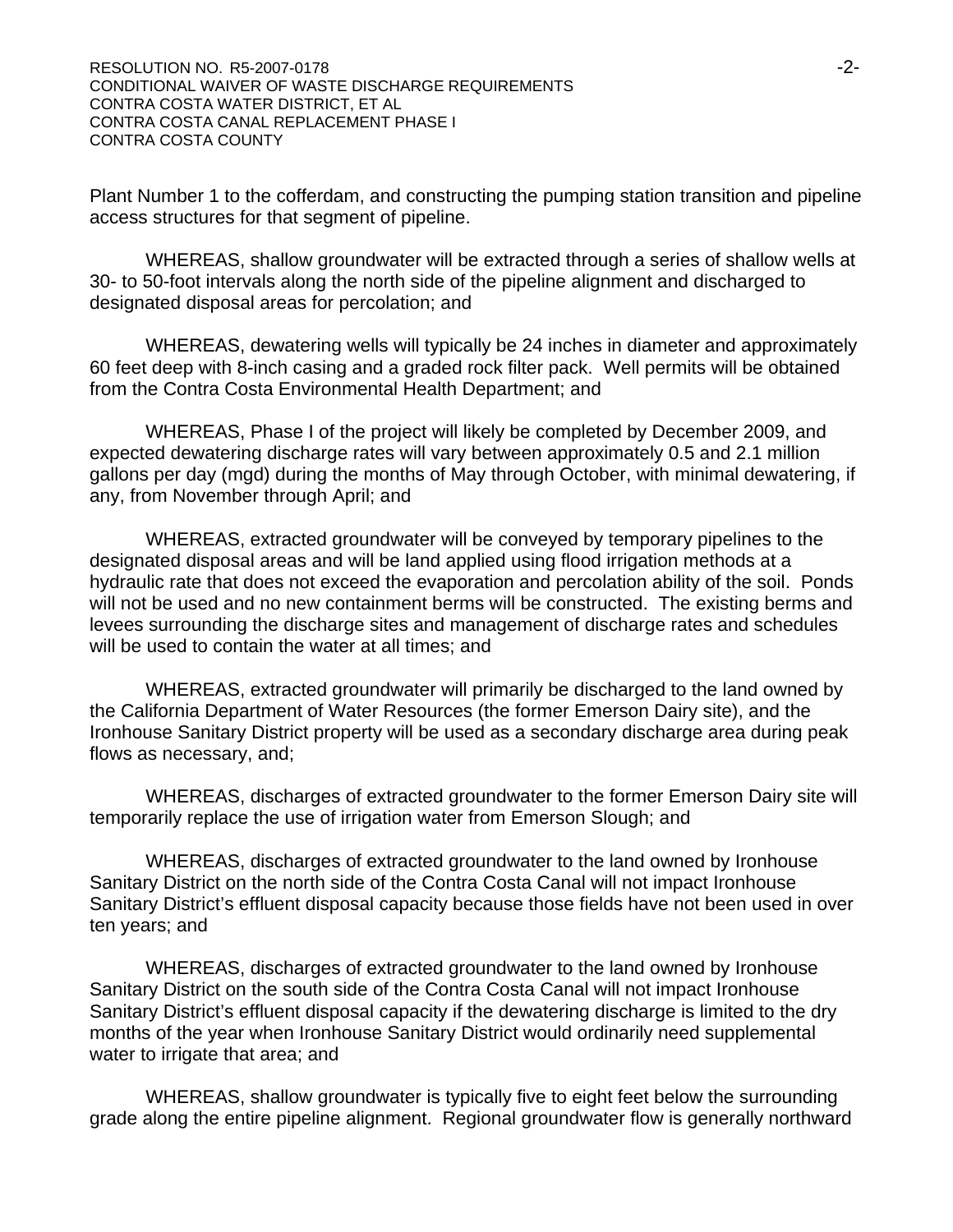Plant Number 1 to the cofferdam, and constructing the pumping station transition and pipeline access structures for that segment of pipeline.

 WHEREAS, shallow groundwater will be extracted through a series of shallow wells at 30- to 50-foot intervals along the north side of the pipeline alignment and discharged to designated disposal areas for percolation; and

 WHEREAS, dewatering wells will typically be 24 inches in diameter and approximately 60 feet deep with 8-inch casing and a graded rock filter pack. Well permits will be obtained from the Contra Costa Environmental Health Department; and

 WHEREAS, Phase I of the project will likely be completed by December 2009, and expected dewatering discharge rates will vary between approximately 0.5 and 2.1 million gallons per day (mgd) during the months of May through October, with minimal dewatering, if any, from November through April; and

 WHEREAS, extracted groundwater will be conveyed by temporary pipelines to the designated disposal areas and will be land applied using flood irrigation methods at a hydraulic rate that does not exceed the evaporation and percolation ability of the soil. Ponds will not be used and no new containment berms will be constructed. The existing berms and levees surrounding the discharge sites and management of discharge rates and schedules will be used to contain the water at all times; and

 WHEREAS, extracted groundwater will primarily be discharged to the land owned by the California Department of Water Resources (the former Emerson Dairy site), and the Ironhouse Sanitary District property will be used as a secondary discharge area during peak flows as necessary, and;

 WHEREAS, discharges of extracted groundwater to the former Emerson Dairy site will temporarily replace the use of irrigation water from Emerson Slough; and

 WHEREAS, discharges of extracted groundwater to the land owned by Ironhouse Sanitary District on the north side of the Contra Costa Canal will not impact Ironhouse Sanitary District's effluent disposal capacity because those fields have not been used in over ten years; and

 WHEREAS, discharges of extracted groundwater to the land owned by Ironhouse Sanitary District on the south side of the Contra Costa Canal will not impact Ironhouse Sanitary District's effluent disposal capacity if the dewatering discharge is limited to the dry months of the year when Ironhouse Sanitary District would ordinarily need supplemental water to irrigate that area; and

 WHEREAS, shallow groundwater is typically five to eight feet below the surrounding grade along the entire pipeline alignment. Regional groundwater flow is generally northward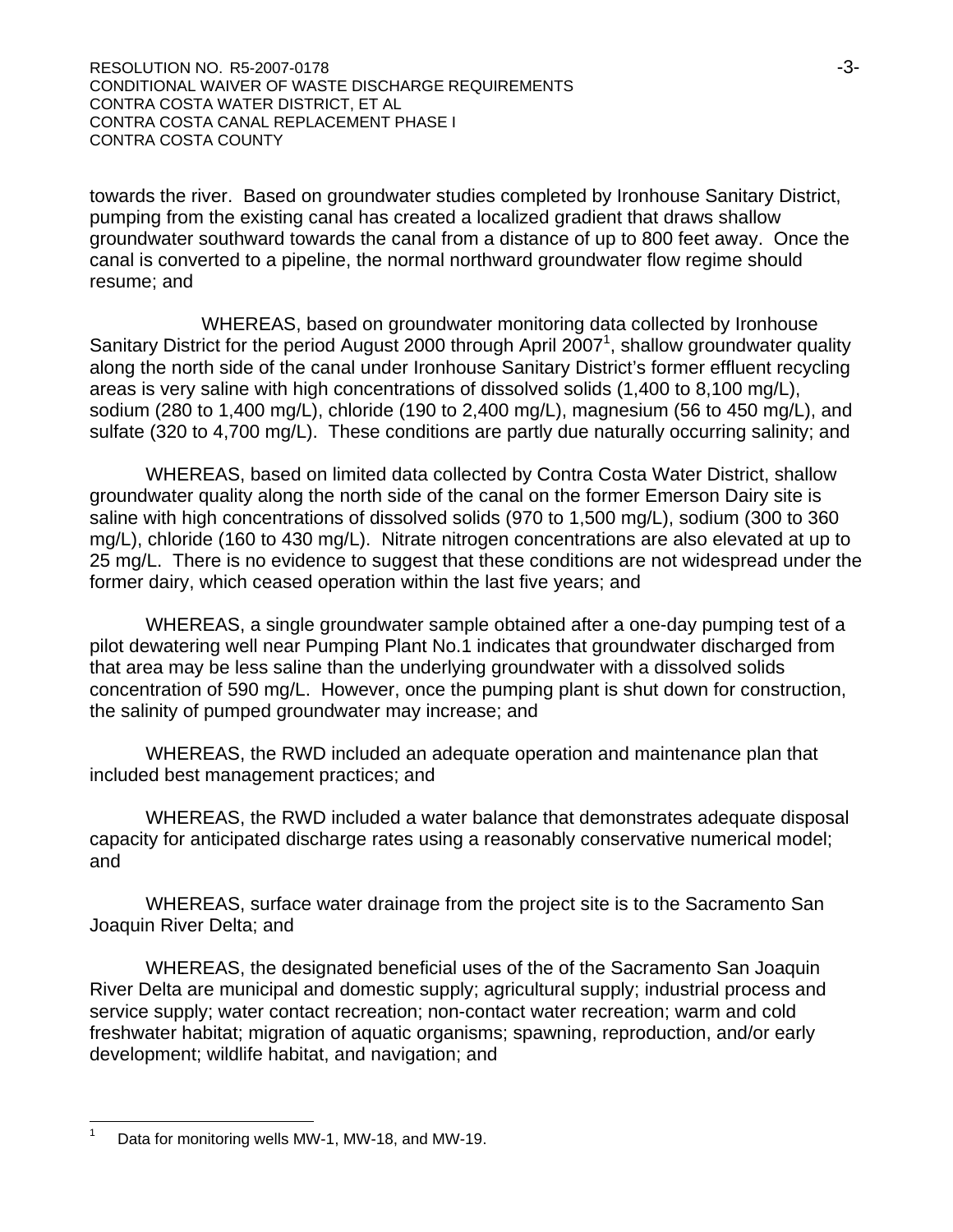RESOLUTION NO. R5-2007-0178 **and the contract of the contract of the contract of the contract of the contract of the contract of the contract of the contract of the contract of the contract of the contract of the contract** CONDITIONAL WAIVER OF WASTE DISCHARGE REQUIREMENTS CONTRA COSTA WATER DISTRICT, ET AL CONTRA COSTA CANAL REPLACEMENT PHASE I CONTRA COSTA COUNTY

towards the river. Based on groundwater studies completed by Ironhouse Sanitary District, pumping from the existing canal has created a localized gradient that draws shallow groundwater southward towards the canal from a distance of up to 800 feet away. Once the canal is converted to a pipeline, the normal northward groundwater flow regime should resume; and

 WHEREAS, based on groundwater monitoring data collected by Ironhouse Sanitary District for the period August 2000 through April 2007<sup>1</sup>, shallow groundwater quality along the north side of the canal under Ironhouse Sanitary District's former effluent recycling areas is very saline with high concentrations of dissolved solids (1,400 to 8,100 mg/L), sodium (280 to 1,400 mg/L), chloride (190 to 2,400 mg/L), magnesium (56 to 450 mg/L), and sulfate (320 to 4,700 mg/L). These conditions are partly due naturally occurring salinity; and

 WHEREAS, based on limited data collected by Contra Costa Water District, shallow groundwater quality along the north side of the canal on the former Emerson Dairy site is saline with high concentrations of dissolved solids (970 to 1,500 mg/L), sodium (300 to 360 mg/L), chloride (160 to 430 mg/L). Nitrate nitrogen concentrations are also elevated at up to 25 mg/L. There is no evidence to suggest that these conditions are not widespread under the former dairy, which ceased operation within the last five years; and

 WHEREAS, a single groundwater sample obtained after a one-day pumping test of a pilot dewatering well near Pumping Plant No.1 indicates that groundwater discharged from that area may be less saline than the underlying groundwater with a dissolved solids concentration of 590 mg/L. However, once the pumping plant is shut down for construction, the salinity of pumped groundwater may increase; and

 WHEREAS, the RWD included an adequate operation and maintenance plan that included best management practices; and

 WHEREAS, the RWD included a water balance that demonstrates adequate disposal capacity for anticipated discharge rates using a reasonably conservative numerical model; and

 WHEREAS, surface water drainage from the project site is to the Sacramento San Joaquin River Delta; and

 WHEREAS, the designated beneficial uses of the of the Sacramento San Joaquin River Delta are municipal and domestic supply; agricultural supply; industrial process and service supply; water contact recreation; non-contact water recreation; warm and cold freshwater habitat; migration of aquatic organisms; spawning, reproduction, and/or early development; wildlife habitat, and navigation; and

 $\overline{a}$ 

<sup>1</sup> Data for monitoring wells MW-1, MW-18, and MW-19.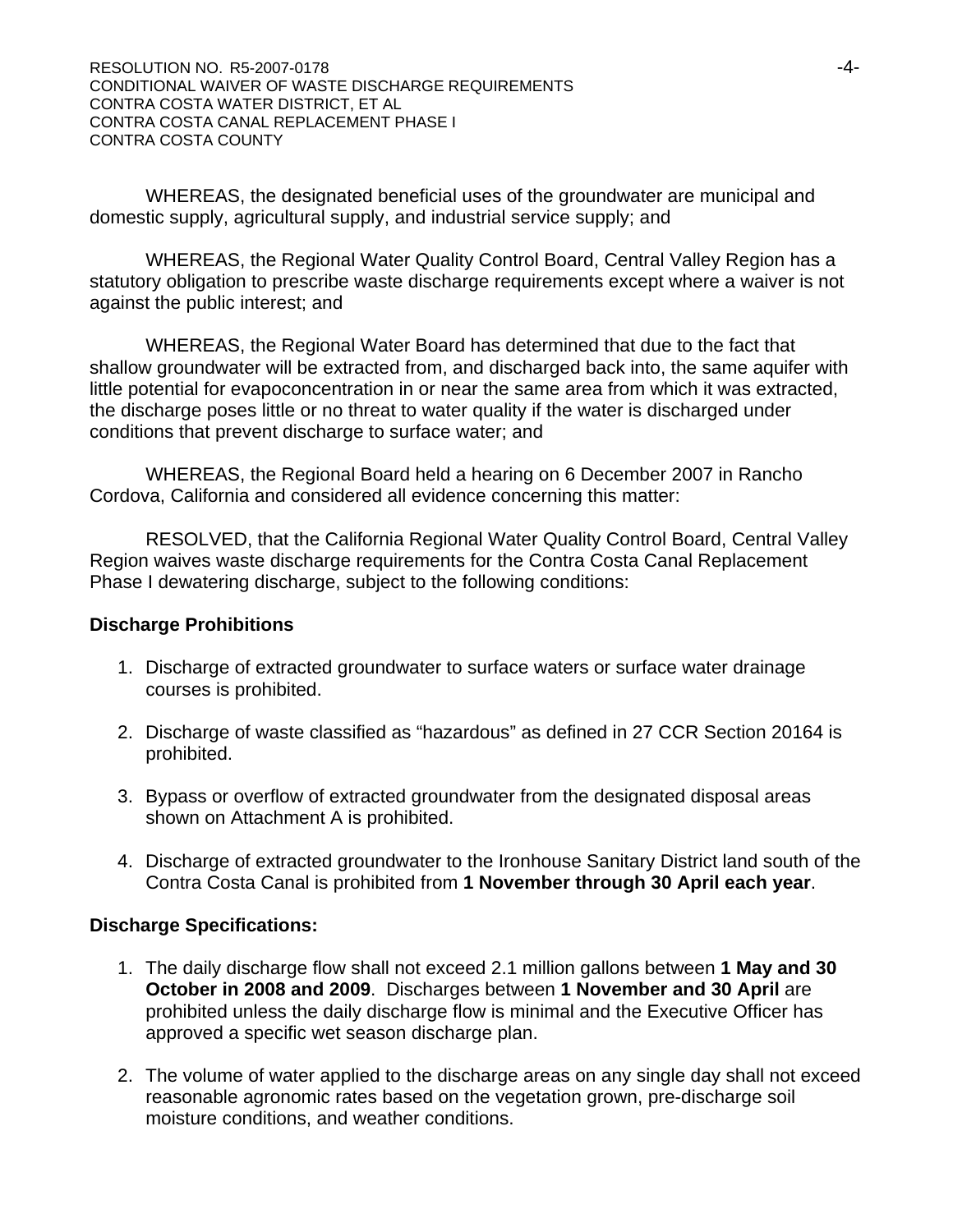WHEREAS, the designated beneficial uses of the groundwater are municipal and domestic supply, agricultural supply, and industrial service supply; and

 WHEREAS, the Regional Water Quality Control Board, Central Valley Region has a statutory obligation to prescribe waste discharge requirements except where a waiver is not against the public interest; and

 WHEREAS, the Regional Water Board has determined that due to the fact that shallow groundwater will be extracted from, and discharged back into, the same aquifer with little potential for evapoconcentration in or near the same area from which it was extracted, the discharge poses little or no threat to water quality if the water is discharged under conditions that prevent discharge to surface water; and

 WHEREAS, the Regional Board held a hearing on 6 December 2007 in Rancho Cordova, California and considered all evidence concerning this matter:

 RESOLVED, that the California Regional Water Quality Control Board, Central Valley Region waives waste discharge requirements for the Contra Costa Canal Replacement Phase I dewatering discharge, subject to the following conditions:

#### **Discharge Prohibitions**

- 1. Discharge of extracted groundwater to surface waters or surface water drainage courses is prohibited.
- 2. Discharge of waste classified as "hazardous" as defined in 27 CCR Section 20164 is prohibited.
- 3. Bypass or overflow of extracted groundwater from the designated disposal areas shown on Attachment A is prohibited.
- 4. Discharge of extracted groundwater to the Ironhouse Sanitary District land south of the Contra Costa Canal is prohibited from **1 November through 30 April each year**.

#### **Discharge Specifications:**

- 1. The daily discharge flow shall not exceed 2.1 million gallons between **1 May and 30 October in 2008 and 2009**. Discharges between **1 November and 30 April** are prohibited unless the daily discharge flow is minimal and the Executive Officer has approved a specific wet season discharge plan.
- 2. The volume of water applied to the discharge areas on any single day shall not exceed reasonable agronomic rates based on the vegetation grown, pre-discharge soil moisture conditions, and weather conditions.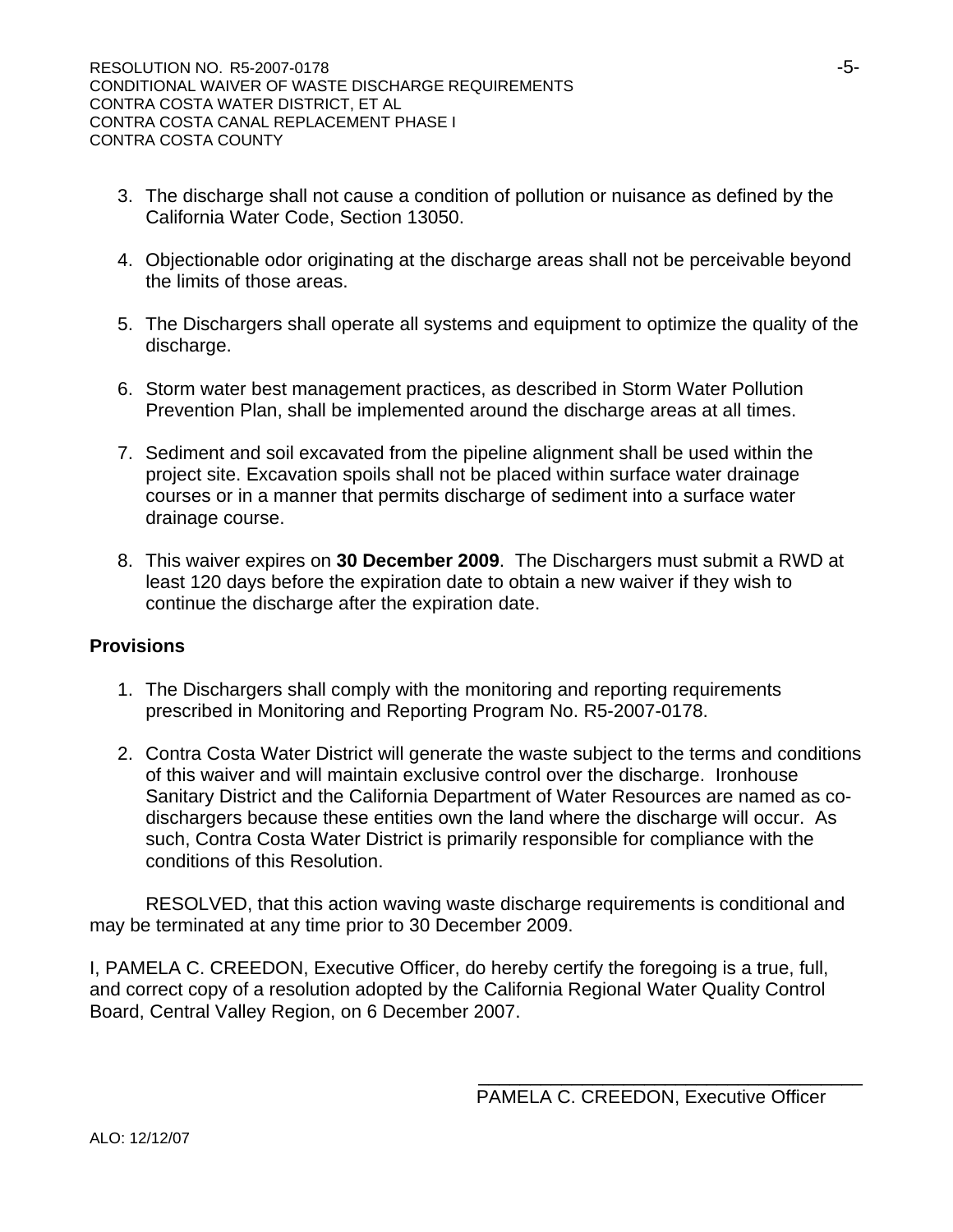- 3. The discharge shall not cause a condition of pollution or nuisance as defined by the California Water Code, Section 13050.
- 4. Objectionable odor originating at the discharge areas shall not be perceivable beyond the limits of those areas.
- 5. The Dischargers shall operate all systems and equipment to optimize the quality of the discharge.
- 6. Storm water best management practices, as described in Storm Water Pollution Prevention Plan, shall be implemented around the discharge areas at all times.
- 7. Sediment and soil excavated from the pipeline alignment shall be used within the project site. Excavation spoils shall not be placed within surface water drainage courses or in a manner that permits discharge of sediment into a surface water drainage course.
- 8. This waiver expires on **30 December 2009**. The Dischargers must submit a RWD at least 120 days before the expiration date to obtain a new waiver if they wish to continue the discharge after the expiration date.

#### **Provisions**

- 1. The Dischargers shall comply with the monitoring and reporting requirements prescribed in Monitoring and Reporting Program No. R5-2007-0178.
- 2. Contra Costa Water District will generate the waste subject to the terms and conditions of this waiver and will maintain exclusive control over the discharge. Ironhouse Sanitary District and the California Department of Water Resources are named as codischargers because these entities own the land where the discharge will occur. As such, Contra Costa Water District is primarily responsible for compliance with the conditions of this Resolution.

 RESOLVED, that this action waving waste discharge requirements is conditional and may be terminated at any time prior to 30 December 2009.

I, PAMELA C. CREEDON, Executive Officer, do hereby certify the foregoing is a true, full, and correct copy of a resolution adopted by the California Regional Water Quality Control Board, Central Valley Region, on 6 December 2007.

\_\_\_\_\_\_\_\_\_\_\_\_\_\_\_\_\_\_\_\_\_\_\_\_\_\_\_\_\_\_\_\_\_\_\_\_\_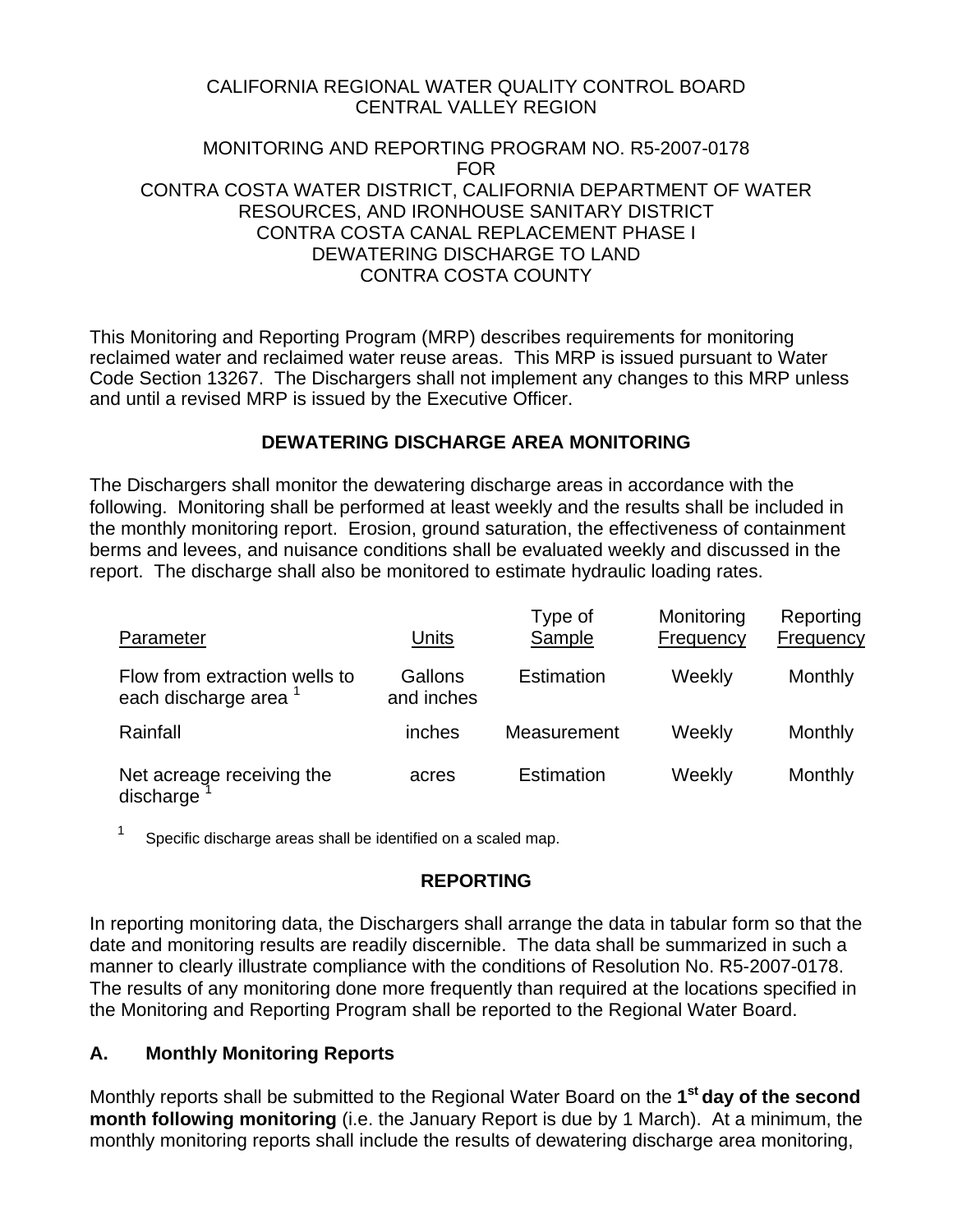# CALIFORNIA REGIONAL WATER QUALITY CONTROL BOARD CENTRAL VALLEY REGION

# MONITORING AND REPORTING PROGRAM NO. R5-2007-0178 FOR CONTRA COSTA WATER DISTRICT, CALIFORNIA DEPARTMENT OF WATER RESOURCES, AND IRONHOUSE SANITARY DISTRICT CONTRA COSTA CANAL REPLACEMENT PHASE I DEWATERING DISCHARGE TO LAND CONTRA COSTA COUNTY

This Monitoring and Reporting Program (MRP) describes requirements for monitoring reclaimed water and reclaimed water reuse areas. This MRP is issued pursuant to Water Code Section 13267. The Dischargers shall not implement any changes to this MRP unless and until a revised MRP is issued by the Executive Officer.

# **DEWATERING DISCHARGE AREA MONITORING**

The Dischargers shall monitor the dewatering discharge areas in accordance with the following. Monitoring shall be performed at least weekly and the results shall be included in the monthly monitoring report. Erosion, ground saturation, the effectiveness of containment berms and levees, and nuisance conditions shall be evaluated weekly and discussed in the report. The discharge shall also be monitored to estimate hydraulic loading rates.

| Parameter                                                         | Units                 | Type of<br>Sample | Monitoring<br>Frequency | Reporting<br>Frequency |
|-------------------------------------------------------------------|-----------------------|-------------------|-------------------------|------------------------|
| Flow from extraction wells to<br>each discharge area <sup>1</sup> | Gallons<br>and inches | Estimation        | Weekly                  | Monthly                |
| Rainfall                                                          | inches                | Measurement       | Weekly                  | Monthly                |
| Net acreage receiving the<br>discharge                            | acres                 | Estimation        | Weekly                  | Monthly                |

 $1$  Specific discharge areas shall be identified on a scaled map.

# **REPORTING**

In reporting monitoring data, the Dischargers shall arrange the data in tabular form so that the date and monitoring results are readily discernible. The data shall be summarized in such a manner to clearly illustrate compliance with the conditions of Resolution No. R5-2007-0178. The results of any monitoring done more frequently than required at the locations specified in the Monitoring and Reporting Program shall be reported to the Regional Water Board.

# **A. Monthly Monitoring Reports**

Monthly reports shall be submitted to the Regional Water Board on the **1st day of the second month following monitoring** (i.e. the January Report is due by 1 March). At a minimum, the monthly monitoring reports shall include the results of dewatering discharge area monitoring,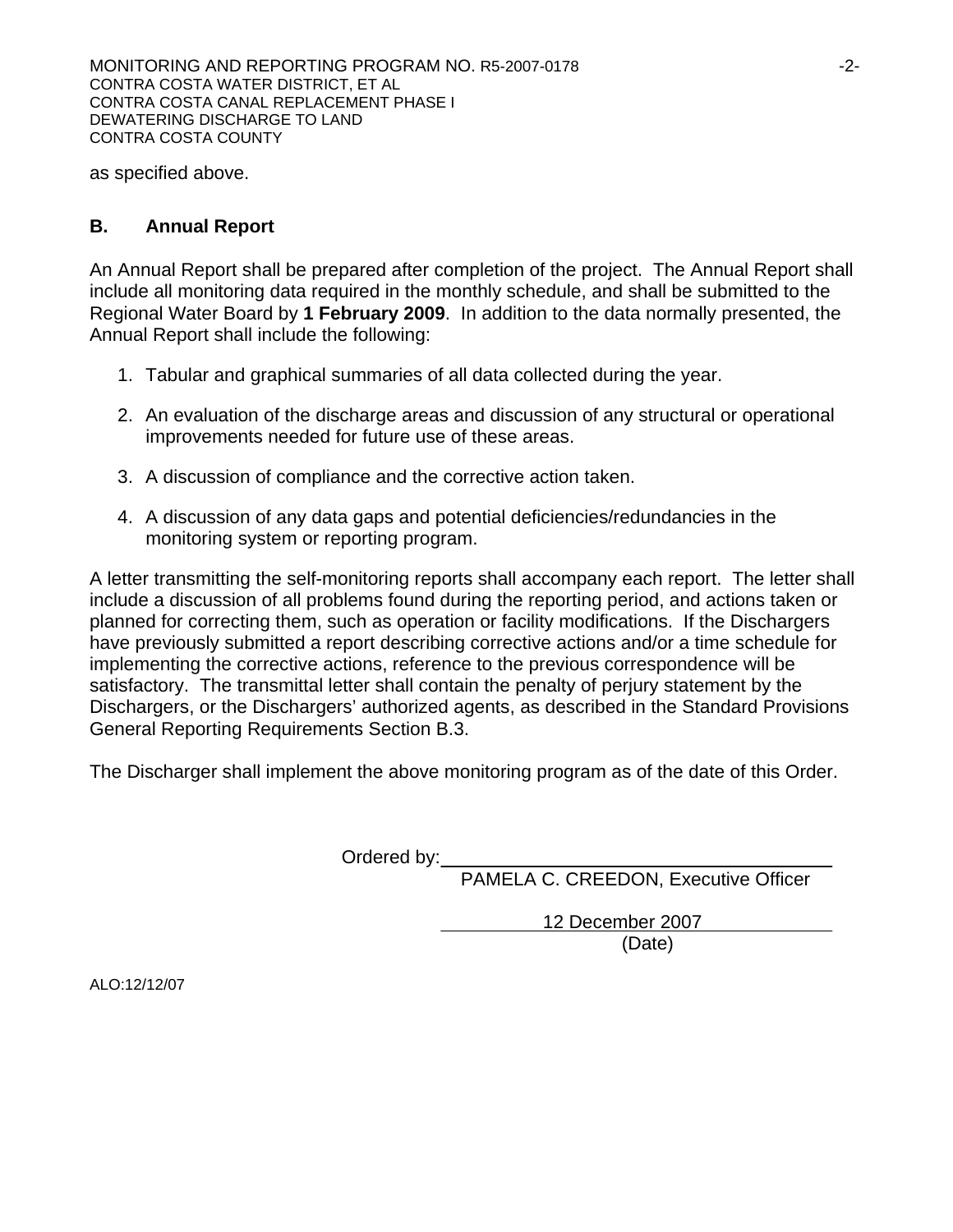as specified above.

# **B. Annual Report**

An Annual Report shall be prepared after completion of the project. The Annual Report shall include all monitoring data required in the monthly schedule, and shall be submitted to the Regional Water Board by **1 February 2009**. In addition to the data normally presented, the Annual Report shall include the following:

- 1. Tabular and graphical summaries of all data collected during the year.
- 2. An evaluation of the discharge areas and discussion of any structural or operational improvements needed for future use of these areas.
- 3. A discussion of compliance and the corrective action taken.
- 4. A discussion of any data gaps and potential deficiencies/redundancies in the monitoring system or reporting program.

A letter transmitting the self-monitoring reports shall accompany each report. The letter shall include a discussion of all problems found during the reporting period, and actions taken or planned for correcting them, such as operation or facility modifications. If the Dischargers have previously submitted a report describing corrective actions and/or a time schedule for implementing the corrective actions, reference to the previous correspondence will be satisfactory. The transmittal letter shall contain the penalty of perjury statement by the Dischargers, or the Dischargers' authorized agents, as described in the Standard Provisions General Reporting Requirements Section B.3.

The Discharger shall implement the above monitoring program as of the date of this Order.

Ordered by:

PAMELA C. CREEDON, Executive Officer

 12 December 2007 (Date)

ALO:12/12/07